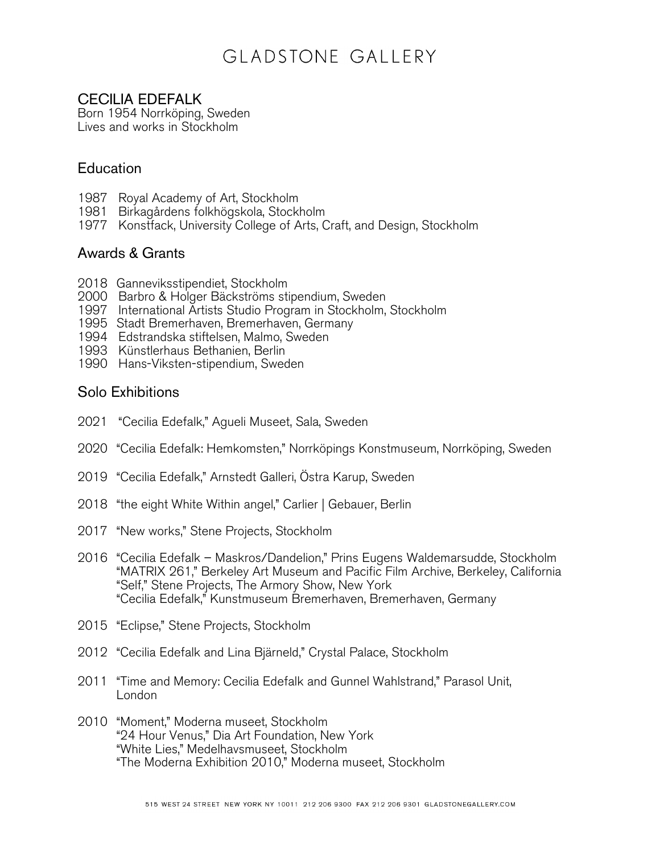### CECILIA EDEFALK

Born 1954 Norrköping, Sweden Lives and works in Stockholm

### **Education**

- 1987 Royal Academy of Art, Stockholm
- 1981 Birkagårdens folkhögskola, Stockholm
- 1977 Konstfack, University College of Arts, Craft, and Design, Stockholm

#### Awards & Grants

- 2018 Ganneviksstipendiet, Stockholm
- 2000 Barbro & Holger Bäckströms stipendium, Sweden
- 1997 International Artists Studio Program in Stockholm, Stockholm
- 1995 Stadt Bremerhaven, Bremerhaven, Germany
- 1994 Edstrandska stiftelsen, Malmo, Sweden
- 1993 Künstlerhaus Bethanien, Berlin
- 1990 Hans-Viksten-stipendium, Sweden

#### Solo Exhibitions

- 2021 "Cecilia Edefalk," Agueli Museet, Sala, Sweden
- 2020 "Cecilia Edefalk: Hemkomsten," Norrköpings Konstmuseum, Norrköping, Sweden
- 2019 "Cecilia Edefalk," Arnstedt Galleri, Östra Karup, Sweden
- 2018 "the eight White Within angel," Carlier | Gebauer, Berlin
- 2017 "New works," Stene Projects, Stockholm
- 2016 "Cecilia Edefalk Maskros/Dandelion," Prins Eugens Waldemarsudde, Stockholm "MATRIX 261," Berkeley Art Museum and Pacific Film Archive, Berkeley, California "Self," Stene Projects, The Armory Show, New York "Cecilia Edefalk," Kunstmuseum Bremerhaven, Bremerhaven, Germany
- 2015 "Eclipse," Stene Projects, Stockholm
- 2012 "Cecilia Edefalk and Lina Bjärneld," Crystal Palace, Stockholm
- 2011 "Time and Memory: Cecilia Edefalk and Gunnel Wahlstrand," Parasol Unit, London
- 2010 "Moment," Moderna museet, Stockholm "24 Hour Venus," Dia Art Foundation, New York "White Lies," Medelhavsmuseet, Stockholm "The Moderna Exhibition 2010," Moderna museet, Stockholm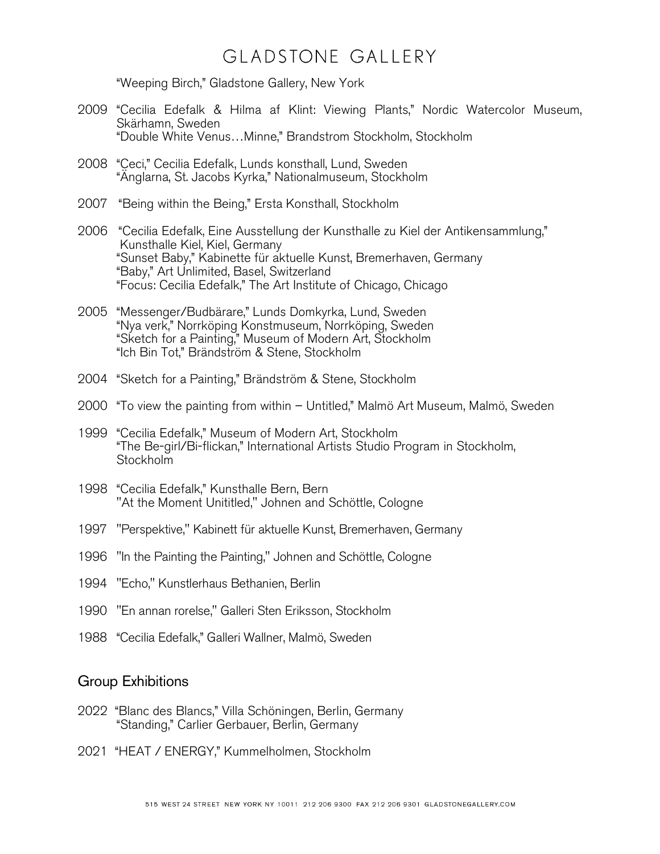"Weeping Birch," Gladstone Gallery, New York

- 2009 "Cecilia Edefalk & Hilma af Klint: Viewing Plants," Nordic Watercolor Museum, Skärhamn, Sweden "Double White Venus…Minne," Brandstrom Stockholm, Stockholm
- 2008 "Ceci," Cecilia Edefalk, Lunds konsthall, Lund, Sweden "Änglarna, St. Jacobs Kyrka," Nationalmuseum, Stockholm
- 2007 "Being within the Being," Ersta Konsthall, Stockholm
- 2006 "Cecilia Edefalk, Eine Ausstellung der Kunsthalle zu Kiel der Antikensammlung," Kunsthalle Kiel, Kiel, Germany "Sunset Baby," Kabinette für aktuelle Kunst, Bremerhaven, Germany "Baby," Art Unlimited, Basel, Switzerland "Focus: Cecilia Edefalk," The Art Institute of Chicago, Chicago
- 2005 "Messenger/Budbärare," Lunds Domkyrka, Lund, Sweden "Nya verk," Norrköping Konstmuseum, Norrköping, Sweden "Sketch for a Painting," Museum of Modern Art, Stockholm "Ich Bin Tot," Brändström & Stene, Stockholm
- 2004 "Sketch for a Painting," Brändström & Stene, Stockholm
- 2000 "To view the painting from within Untitled," Malmö Art Museum, Malmö, Sweden
- 1999 "Cecilia Edefalk," Museum of Modern Art, Stockholm "The Be-girl/Bi-flickan," International Artists Studio Program in Stockholm, Stockholm
- 1998 "Cecilia Edefalk," Kunsthalle Bern, Bern "At the Moment Unititled," Johnen and Schöttle, Cologne
- 1997 "Perspektive," Kabinett für aktuelle Kunst, Bremerhaven, Germany
- 1996 "In the Painting the Painting," Johnen and Schöttle, Cologne
- 1994 "Echo," Kunstlerhaus Bethanien, Berlin
- 1990 "En annan rorelse," Galleri Sten Eriksson, Stockholm
- 1988 "Cecilia Edefalk," Galleri Wallner, Malmö, Sweden

#### Group Exhibitions

- 2022 "Blanc des Blancs," Villa Schöningen, Berlin, Germany "Standing," Carlier Gerbauer, Berlin, Germany
- 2021 "HEAT / ENERGY," Kummelholmen, Stockholm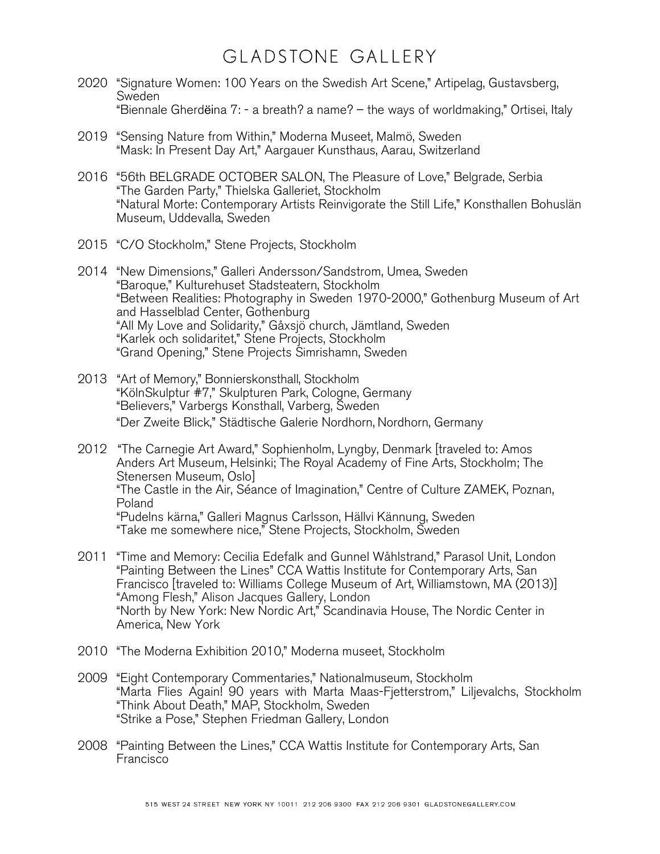- 2020 "Signature Women: 100 Years on the Swedish Art Scene," Artipelag, Gustavsberg, **Sweden** "Biennale Gherdëina 7: - a breath? a name? – the ways of worldmaking," Ortisei, Italy
- 2019 "Sensing Nature from Within," Moderna Museet, Malmö, Sweden "Mask: In Present Day Art," Aargauer Kunsthaus, Aarau, Switzerland
- 2016 "56th BELGRADE OCTOBER SALON, The Pleasure of Love," Belgrade, Serbia "The Garden Party," Thielska Galleriet, Stockholm "Natural Morte: Contemporary Artists Reinvigorate the Still Life," Konsthallen Bohuslän Museum, Uddevalla, Sweden
- 2015 "C/O Stockholm," Stene Projects, Stockholm
- 2014 "New Dimensions," Galleri Andersson/Sandstrom, Umea, Sweden "Baroque," Kulturehuset Stadsteatern, Stockholm "Between Realities: Photography in Sweden 1970-2000," Gothenburg Museum of Art and Hasselblad Center, Gothenburg "All My Love and Solidarity," Gåxsjö church, Jämtland, Sweden "Karlek och solidaritet," Stene Projects, Stockholm "Grand Opening," Stene Projects Simrishamn, Sweden
- 2013 "Art of Memory," Bonnierskonsthall, Stockholm "KölnSkulptur #7," Skulpturen Park, Cologne, Germany "Believers," Varbergs Konsthall, Varberg, Sweden "Der Zweite Blick," Städtische Galerie Nordhorn, Nordhorn, Germany
- 2012 "The Carnegie Art Award," Sophienholm, Lyngby, Denmark [traveled to: Amos Anders Art Museum, Helsinki; The Royal Academy of Fine Arts, Stockholm; The Stenersen Museum, Oslo] "The Castle in the Air, Séance of Imagination," Centre of Culture ZAMEK, Poznan, Poland "Pudelns kärna," Galleri Magnus Carlsson, Hällvi Kännung, Sweden "Take me somewhere nice," Stene Projects, Stockholm, Sweden
- 2011 "Time and Memory: Cecilia Edefalk and Gunnel Wåhlstrand," Parasol Unit, London "Painting Between the Lines" CCA Wattis Institute for Contemporary Arts, San Francisco [traveled to: Williams College Museum of Art, Williamstown, MA (2013)] "Among Flesh," Alison Jacques Gallery, London "North by New York: New Nordic Art," Scandinavia House, The Nordic Center in America, New York
- 2010 "The Moderna Exhibition 2010," Moderna museet, Stockholm
- 2009 "Eight Contemporary Commentaries," Nationalmuseum, Stockholm "Marta Flies Again! 90 years with Marta Maas-Fjetterstrom," Liljevalchs, Stockholm "Think About Death," MAP, Stockholm, Sweden "Strike a Pose," Stephen Friedman Gallery, London
- 2008 "Painting Between the Lines," CCA Wattis Institute for Contemporary Arts, San Francisco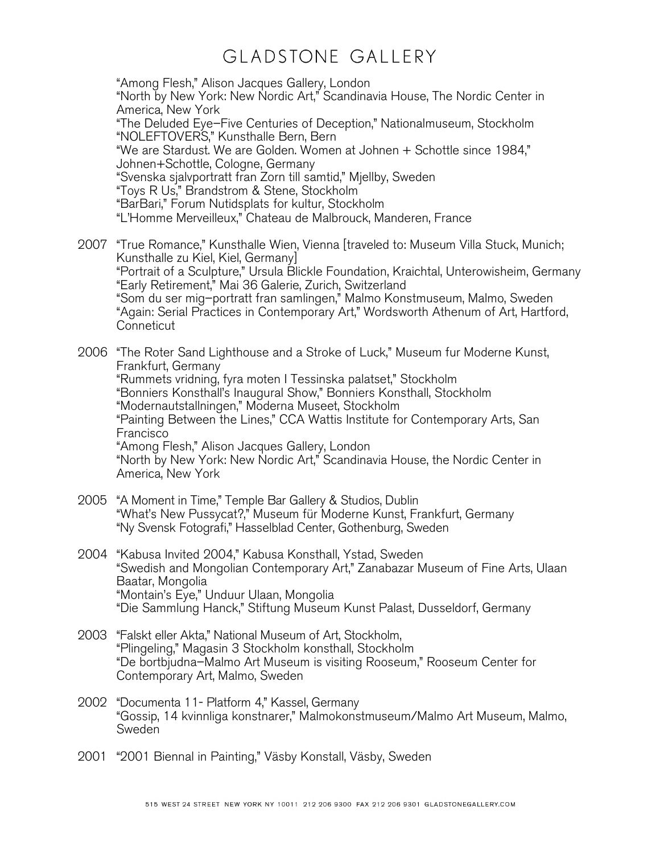"Among Flesh," Alison Jacques Gallery, London "North by New York: New Nordic Art," Scandinavia House, The Nordic Center in America, New York "The Deluded Eye–Five Centuries of Deception," Nationalmuseum, Stockholm "NOLEFTOVERS," Kunsthalle Bern, Bern "We are Stardust. We are Golden. Women at Johnen + Schottle since 1984," Johnen+Schottle, Cologne, Germany "Svenska sjalvportratt fran Zorn till samtid," Mjellby, Sweden "Toys R Us," Brandstrom & Stene, Stockholm "BarBari," Forum Nutidsplats for kultur, Stockholm "L'Homme Merveilleux," Chateau de Malbrouck, Manderen, France

2007 "True Romance," Kunsthalle Wien, Vienna [traveled to: Museum Villa Stuck, Munich; Kunsthalle zu Kiel, Kiel, Germany] "Portrait of a Sculpture," Ursula Blickle Foundation, Kraichtal, Unterowisheim, Germany "Early Retirement," Mai 36 Galerie, Zurich, Switzerland "Som du ser mig–portratt fran samlingen," Malmo Konstmuseum, Malmo, Sweden "Again: Serial Practices in Contemporary Art," Wordsworth Athenum of Art, Hartford, **Conneticut** 

2006 "The Roter Sand Lighthouse and a Stroke of Luck," Museum fur Moderne Kunst, Frankfurt, Germany "Rummets vridning, fyra moten I Tessinska palatset," Stockholm "Bonniers Konsthall's Inaugural Show," Bonniers Konsthall, Stockholm "Modernautstallningen," Moderna Museet, Stockholm "Painting Between the Lines," CCA Wattis Institute for Contemporary Arts, San Francisco "Among Flesh," Alison Jacques Gallery, London "North by New York: New Nordic Art," Scandinavia House, the Nordic Center in America, New York

- 2005 "A Moment in Time," Temple Bar Gallery & Studios, Dublin "What's New Pussycat?," Museum für Moderne Kunst, Frankfurt, Germany "Ny Svensk Fotografi," Hasselblad Center, Gothenburg, Sweden
- 2004 "Kabusa Invited 2004," Kabusa Konsthall, Ystad, Sweden "Swedish and Mongolian Contemporary Art," Zanabazar Museum of Fine Arts, Ulaan Baatar, Mongolia "Montain's Eye," Unduur Ulaan, Mongolia "Die Sammlung Hanck," Stiftung Museum Kunst Palast, Dusseldorf, Germany
- 2003 "Falskt eller Akta," National Museum of Art, Stockholm, "Plingeling," Magasin 3 Stockholm konsthall, Stockholm "De bortbjudna–Malmo Art Museum is visiting Rooseum," Rooseum Center for Contemporary Art, Malmo, Sweden
- 2002 "Documenta 11- Platform 4," Kassel, Germany "Gossip, 14 kvinnliga konstnarer," Malmokonstmuseum/Malmo Art Museum, Malmo, **Sweden**
- 2001 "2001 Biennal in Painting," Väsby Konstall, Väsby, Sweden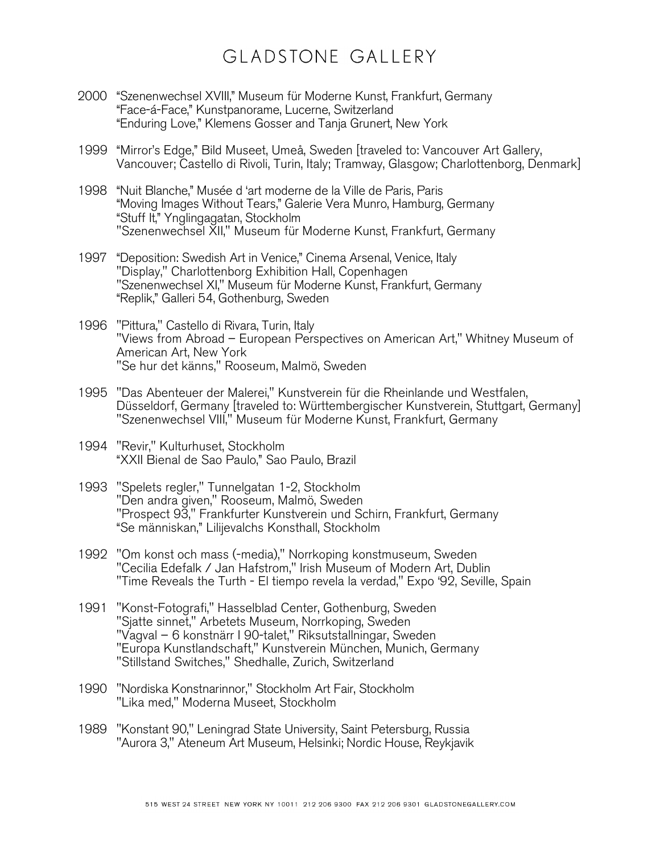- 2000 "Szenenwechsel XVIII," Museum für Moderne Kunst, Frankfurt, Germany "Face-á-Face," Kunstpanorame, Lucerne, Switzerland "Enduring Love," Klemens Gosser and Tanja Grunert, New York
- 1999 "Mirror's Edge," Bild Museet, Umeå, Sweden [traveled to: Vancouver Art Gallery, Vancouver; Castello di Rivoli, Turin, Italy; Tramway, Glasgow; Charlottenborg, Denmark]
- 1998 "Nuit Blanche," Musée d 'art moderne de la Ville de Paris, Paris "Moving Images Without Tears," Galerie Vera Munro, Hamburg, Germany "Stuff It," Ynglingagatan, Stockholm "Szenenwechsel XII," Museum für Moderne Kunst, Frankfurt, Germany
- 1997 "Deposition: Swedish Art in Venice," Cinema Arsenal, Venice, Italy "Display," Charlottenborg Exhibition Hall, Copenhagen "Szenenwechsel XI," Museum für Moderne Kunst, Frankfurt, Germany "Replik," Galleri 54, Gothenburg, Sweden
- 1996 "Pittura," Castello di Rivara, Turin, Italy "Views from Abroad – European Perspectives on American Art," Whitney Museum of American Art, New York "Se hur det känns," Rooseum, Malmö, Sweden
- 1995 "Das Abenteuer der Malerei," Kunstverein für die Rheinlande und Westfalen, Düsseldorf, Germany [traveled to: Württembergischer Kunstverein, Stuttgart, Germany] "Szenenwechsel VIII," Museum für Moderne Kunst, Frankfurt, Germany
- 1994 "Revir," Kulturhuset, Stockholm "XXII Bienal de Sao Paulo," Sao Paulo, Brazil
- 1993 "Spelets regler," Tunnelgatan 1-2, Stockholm "Den andra given," Rooseum, Malmö, Sweden "Prospect 93," Frankfurter Kunstverein und Schirn, Frankfurt, Germany "Se människan," Lilijevalchs Konsthall, Stockholm
- 1992 "Om konst och mass (-media)," Norrkoping konstmuseum, Sweden "Cecilia Edefalk / Jan Hafstrom," Irish Museum of Modern Art, Dublin "Time Reveals the Turth - El tiempo revela la verdad," Expo '92, Seville, Spain
- 1991 "Konst-Fotografi," Hasselblad Center, Gothenburg, Sweden "Sjatte sinnet," Arbetets Museum, Norrkoping, Sweden "Vagval – 6 konstnärr I 90-talet," Riksutstallningar, Sweden "Europa Kunstlandschaft," Kunstverein München, Munich, Germany "Stillstand Switches," Shedhalle, Zurich, Switzerland
- 1990 "Nordiska Konstnarinnor," Stockholm Art Fair, Stockholm "Lika med," Moderna Museet, Stockholm
- 1989 "Konstant 90," Leningrad State University, Saint Petersburg, Russia "Aurora 3," Ateneum Art Museum, Helsinki; Nordic House, Reykjavik